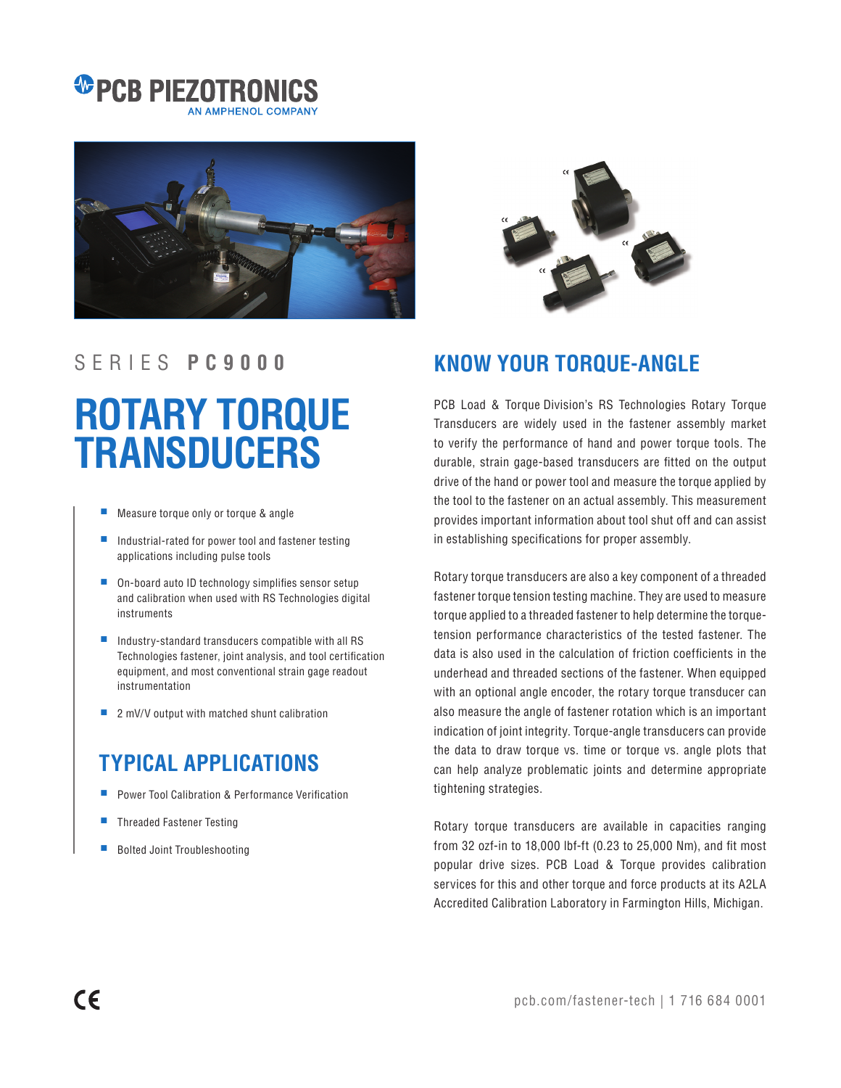### *C* PCB PIEZOTRON AN AMPHENOL COMPAN



# **ROTARY TORQUE TRANSDUCERS**

- Measure torque only or torque & angle
- Industrial-rated for power tool and fastener testing applications including pulse tools
- On-board auto ID technology simplifies sensor setup and calibration when used with RS Technologies digital instruments
- Industry-standard transducers compatible with all RS Technologies fastener, joint analysis, and tool certification equipment, and most conventional strain gage readout instrumentation
- 2 mV/V output with matched shunt calibration

# **TYPICAL APPLICATIONS**

- Power Tool Calibration & Performance Verification
- Threaded Fastener Testing
- **Bolted Joint Troubleshooting**



## SERIES **P C 9 0 0 0 KNOW YOUR TORQUE-ANGLE**

PCB Load & Torque Division's RS Technologies Rotary Torque Transducers are widely used in the fastener assembly market to verify the performance of hand and power torque tools. The durable, strain gage-based transducers are fitted on the output drive of the hand or power tool and measure the torque applied by the tool to the fastener on an actual assembly. This measurement provides important information about tool shut off and can assist in establishing specifications for proper assembly.

Rotary torque transducers are also a key component of a threaded fastener torque tension testing machine. They are used to measure torque applied to a threaded fastener to help determine the torquetension performance characteristics of the tested fastener. The data is also used in the calculation of friction coefficients in the underhead and threaded sections of the fastener. When equipped with an optional angle encoder, the rotary torque transducer can also measure the angle of fastener rotation which is an important indication of joint integrity. Torque-angle transducers can provide the data to draw torque vs. time or torque vs. angle plots that can help analyze problematic joints and determine appropriate tightening strategies.

Rotary torque transducers are available in capacities ranging from 32 ozf-in to 18,000 lbf-ft (0.23 to 25,000 Nm), and fit most popular drive sizes. PCB Load & Torque provides calibration services for this and other torque and force products at its A2LA Accredited Calibration Laboratory in Farmington Hills, Michigan.